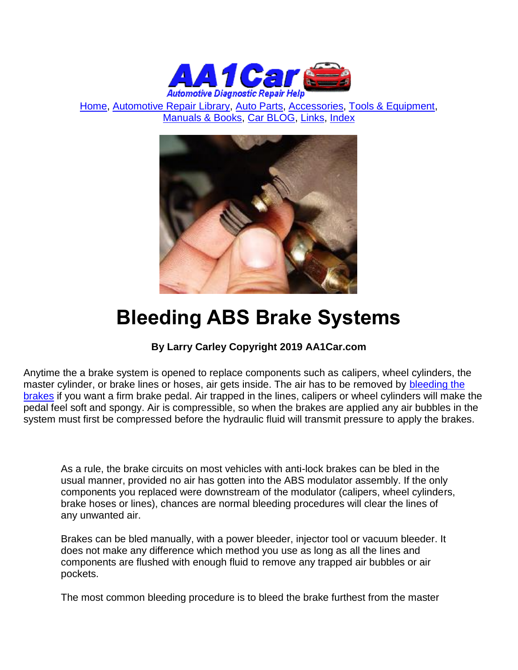

[Home,](http://www.aa1car.com/) [Automotive Repair Library,](http://www.aa1car.com/library.htm) [Auto Parts,](http://www.aa1car.com/links_parts.htm) [Accessories,](http://www.aa1car.com/links_accessories.htm) [Tools & Equipment,](http://www.aa1car.com/links_tools.htm) [Manuals & Books,](http://www.aa1car.com/links_books.htm) [Car BLOG,](http://www.aa1car.com/blog/blog.htm) [Links,](http://www.aa1car.com/links.htm) [Index](http://www.aa1car.com/index_alphabetical.htm)



# **Bleeding ABS Brake Systems**

#### **By Larry Carley Copyright 2019 AA1Car.com**

Anytime the a brake system is opened to replace components such as calipers, wheel cylinders, the master cylinder, or brake lines or hoses, air gets inside. The air has to be removed by [bleeding the](http://www.aa1car.com/library/2003/bf90347.htm)  [brakes](http://www.aa1car.com/library/2003/bf90347.htm) if you want a firm brake pedal. Air trapped in the lines, calipers or wheel cylinders will make the pedal feel soft and spongy. Air is compressible, so when the brakes are applied any air bubbles in the system must first be compressed before the hydraulic fluid will transmit pressure to apply the brakes.

As a rule, the brake circuits on most vehicles with anti-lock brakes can be bled in the usual manner, provided no air has gotten into the ABS modulator assembly. If the only components you replaced were downstream of the modulator (calipers, wheel cylinders, brake hoses or lines), chances are normal bleeding procedures will clear the lines of any unwanted air.

Brakes can be bled manually, with a power bleeder, injector tool or vacuum bleeder. It does not make any difference which method you use as long as all the lines and components are flushed with enough fluid to remove any trapped air bubbles or air pockets.

The most common bleeding procedure is to bleed the brake furthest from the master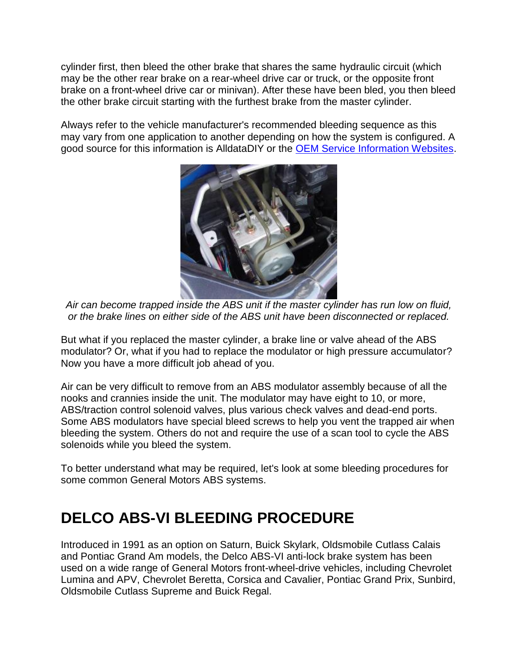cylinder first, then bleed the other brake that shares the same hydraulic circuit (which may be the other rear brake on a rear-wheel drive car or truck, or the opposite front brake on a front-wheel drive car or minivan). After these have been bled, you then bleed the other brake circuit starting with the furthest brake from the master cylinder.

Always refer to the vehicle manufacturer's recommended bleeding sequence as this may vary from one application to another depending on how the system is configured. A good source for this information is AlldataDIY or the [OEM Service Information Websites.](http://www.aa1car.com/library/oemwebsites.htm)



*Air can become trapped inside the ABS unit if the master cylinder has run low on fluid, or the brake lines on either side of the ABS unit have been disconnected or replaced.*

But what if you replaced the master cylinder, a brake line or valve ahead of the ABS modulator? Or, what if you had to replace the modulator or high pressure accumulator? Now you have a more difficult job ahead of you.

Air can be very difficult to remove from an ABS modulator assembly because of all the nooks and crannies inside the unit. The modulator may have eight to 10, or more, ABS/traction control solenoid valves, plus various check valves and dead-end ports. Some ABS modulators have special bleed screws to help you vent the trapped air when bleeding the system. Others do not and require the use of a scan tool to cycle the ABS solenoids while you bleed the system.

To better understand what may be required, let's look at some bleeding procedures for some common General Motors ABS systems.

### **DELCO ABS-VI BLEEDING PROCEDURE**

Introduced in 1991 as an option on Saturn, Buick Skylark, Oldsmobile Cutlass Calais and Pontiac Grand Am models, the Delco ABS-VI anti-lock brake system has been used on a wide range of General Motors front-wheel-drive vehicles, including Chevrolet Lumina and APV, Chevrolet Beretta, Corsica and Cavalier, Pontiac Grand Prix, Sunbird, Oldsmobile Cutlass Supreme and Buick Regal.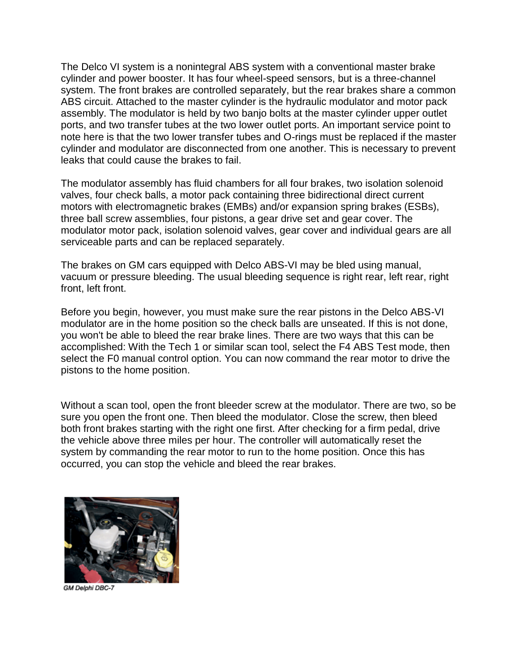The Delco VI system is a nonintegral ABS system with a conventional master brake cylinder and power booster. It has four wheel-speed sensors, but is a three-channel system. The front brakes are controlled separately, but the rear brakes share a common ABS circuit. Attached to the master cylinder is the hydraulic modulator and motor pack assembly. The modulator is held by two banjo bolts at the master cylinder upper outlet ports, and two transfer tubes at the two lower outlet ports. An important service point to note here is that the two lower transfer tubes and O-rings must be replaced if the master cylinder and modulator are disconnected from one another. This is necessary to prevent leaks that could cause the brakes to fail.

The modulator assembly has fluid chambers for all four brakes, two isolation solenoid valves, four check balls, a motor pack containing three bidirectional direct current motors with electromagnetic brakes (EMBs) and/or expansion spring brakes (ESBs), three ball screw assemblies, four pistons, a gear drive set and gear cover. The modulator motor pack, isolation solenoid valves, gear cover and individual gears are all serviceable parts and can be replaced separately.

The brakes on GM cars equipped with Delco ABS-VI may be bled using manual, vacuum or pressure bleeding. The usual bleeding sequence is right rear, left rear, right front, left front.

Before you begin, however, you must make sure the rear pistons in the Delco ABS-VI modulator are in the home position so the check balls are unseated. If this is not done, you won't be able to bleed the rear brake lines. There are two ways that this can be accomplished: With the Tech 1 or similar scan tool, select the F4 ABS Test mode, then select the F0 manual control option. You can now command the rear motor to drive the pistons to the home position.

Without a scan tool, open the front bleeder screw at the modulator. There are two, so be sure you open the front one. Then bleed the modulator. Close the screw, then bleed both front brakes starting with the right one first. After checking for a firm pedal, drive the vehicle above three miles per hour. The controller will automatically reset the system by commanding the rear motor to run to the home position. Once this has occurred, you can stop the vehicle and bleed the rear brakes.



GM Delphi DBC-7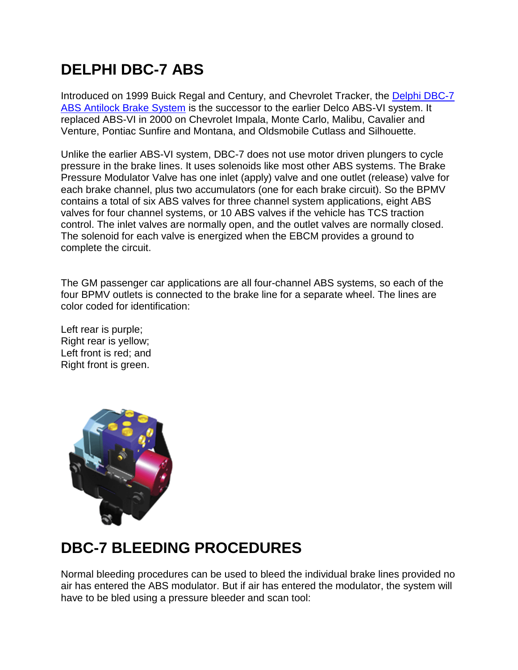## **DELPHI DBC-7 ABS**

Introduced on 1999 Buick Regal and Century, and Chevrolet Tracker, the [Delphi DBC-7](http://www.aa1car.com/library/abs_delphi_dbc7.htm)  [ABS Antilock Brake System](http://www.aa1car.com/library/abs_delphi_dbc7.htm) is the successor to the earlier Delco ABS-VI system. It replaced ABS-VI in 2000 on Chevrolet Impala, Monte Carlo, Malibu, Cavalier and Venture, Pontiac Sunfire and Montana, and Oldsmobile Cutlass and Silhouette.

Unlike the earlier ABS-VI system, DBC-7 does not use motor driven plungers to cycle pressure in the brake lines. It uses solenoids like most other ABS systems. The Brake Pressure Modulator Valve has one inlet (apply) valve and one outlet (release) valve for each brake channel, plus two accumulators (one for each brake circuit). So the BPMV contains a total of six ABS valves for three channel system applications, eight ABS valves for four channel systems, or 10 ABS valves if the vehicle has TCS traction control. The inlet valves are normally open, and the outlet valves are normally closed. The solenoid for each valve is energized when the EBCM provides a ground to complete the circuit.

The GM passenger car applications are all four-channel ABS systems, so each of the four BPMV outlets is connected to the brake line for a separate wheel. The lines are color coded for identification:

Left rear is purple; Right rear is yellow; Left front is red; and Right front is green.



### **DBC-7 BLEEDING PROCEDURES**

Normal bleeding procedures can be used to bleed the individual brake lines provided no air has entered the ABS modulator. But if air has entered the modulator, the system will have to be bled using a pressure bleeder and scan tool: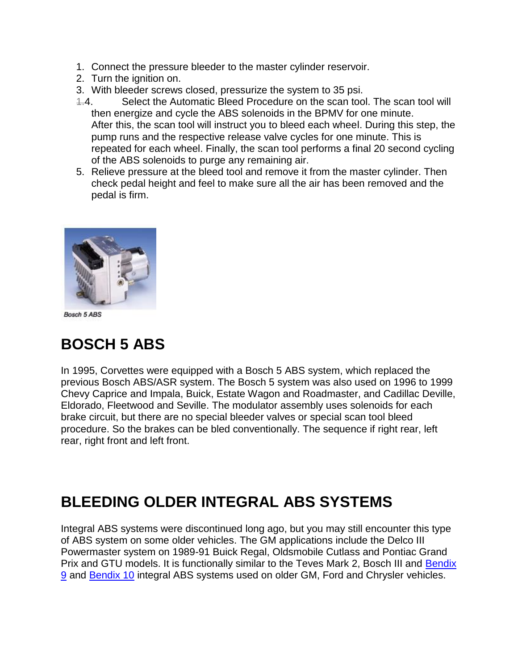- 1. Connect the pressure bleeder to the master cylinder reservoir.
- 2. Turn the ignition on.
- 3. With bleeder screws closed, pressurize the system to 35 psi.
- 1.4. Select the Automatic Bleed Procedure on the scan tool. The scan tool will then energize and cycle the ABS solenoids in the BPMV for one minute. After this, the scan tool will instruct you to bleed each wheel. During this step, the pump runs and the respective release valve cycles for one minute. This is repeated for each wheel. Finally, the scan tool performs a final 20 second cycling of the ABS solenoids to purge any remaining air.
- 5. Relieve pressure at the bleed tool and remove it from the master cylinder. Then check pedal height and feel to make sure all the air has been removed and the pedal is firm.



Bosch 5 ABS

### **BOSCH 5 ABS**

In 1995, Corvettes were equipped with a Bosch 5 ABS system, which replaced the previous Bosch ABS/ASR system. The Bosch 5 system was also used on 1996 to 1999 Chevy Caprice and Impala, Buick, Estate Wagon and Roadmaster, and Cadillac Deville, Eldorado, Fleetwood and Seville. The modulator assembly uses solenoids for each brake circuit, but there are no special bleeder valves or special scan tool bleed procedure. So the brakes can be bled conventionally. The sequence if right rear, left rear, right front and left front.

#### **BLEEDING OLDER INTEGRAL ABS SYSTEMS**

Integral ABS systems were discontinued long ago, but you may still encounter this type of ABS system on some older vehicles. The GM applications include the Delco III Powermaster system on 1989-91 Buick Regal, Oldsmobile Cutlass and Pontiac Grand Prix and GTU models. It is functionally similar to the Teves Mark 2, Bosch III and [Bendix](http://www.aa1car.com/library/abs_bendix9.htm)  [9](http://www.aa1car.com/library/abs_bendix9.htm) and [Bendix 10](http://www.aa1car.com/library/abs_bendix10.htm) integral ABS systems used on older GM, Ford and Chrysler vehicles.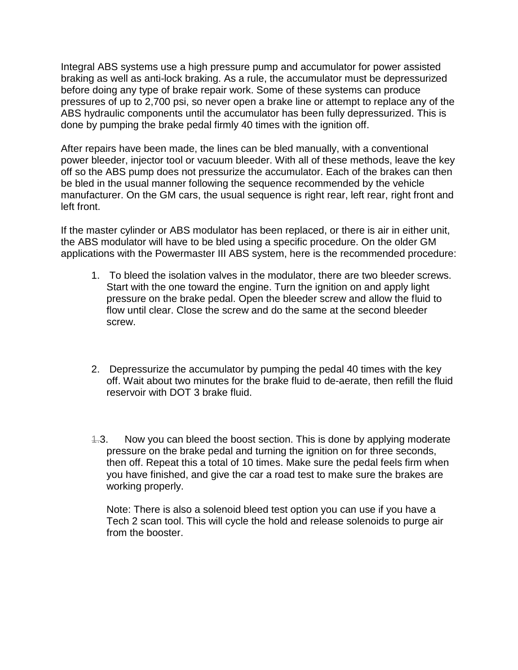Integral ABS systems use a high pressure pump and accumulator for power assisted braking as well as anti-lock braking. As a rule, the accumulator must be depressurized before doing any type of brake repair work. Some of these systems can produce pressures of up to 2,700 psi, so never open a brake line or attempt to replace any of the ABS hydraulic components until the accumulator has been fully depressurized. This is done by pumping the brake pedal firmly 40 times with the ignition off.

After repairs have been made, the lines can be bled manually, with a conventional power bleeder, injector tool or vacuum bleeder. With all of these methods, leave the key off so the ABS pump does not pressurize the accumulator. Each of the brakes can then be bled in the usual manner following the sequence recommended by the vehicle manufacturer. On the GM cars, the usual sequence is right rear, left rear, right front and left front.

If the master cylinder or ABS modulator has been replaced, or there is air in either unit, the ABS modulator will have to be bled using a specific procedure. On the older GM applications with the Powermaster III ABS system, here is the recommended procedure:

- 1. To bleed the isolation valves in the modulator, there are two bleeder screws. Start with the one toward the engine. Turn the ignition on and apply light pressure on the brake pedal. Open the bleeder screw and allow the fluid to flow until clear. Close the screw and do the same at the second bleeder screw.
- 2. Depressurize the accumulator by pumping the pedal 40 times with the key off. Wait about two minutes for the brake fluid to de-aerate, then refill the fluid reservoir with DOT 3 brake fluid.
- 4.3. Now you can bleed the boost section. This is done by applying moderate pressure on the brake pedal and turning the ignition on for three seconds, then off. Repeat this a total of 10 times. Make sure the pedal feels firm when you have finished, and give the car a road test to make sure the brakes are working properly.

Note: There is also a solenoid bleed test option you can use if you have a Tech 2 scan tool. This will cycle the hold and release solenoids to purge air from the booster.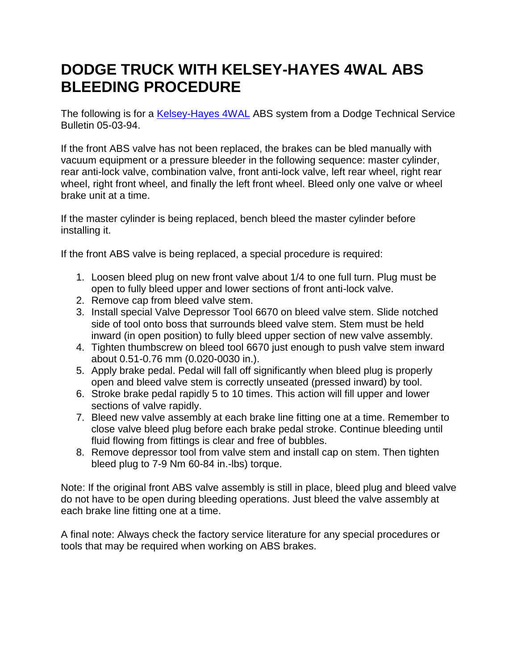#### **DODGE TRUCK WITH KELSEY-HAYES 4WAL ABS BLEEDING PROCEDURE**

The following is for a [Kelsey-Hayes 4WAL](http://www.aa1car.com/library/abs_kelseyhayes.htm) ABS system from a Dodge Technical Service Bulletin 05-03-94.

If the front ABS valve has not been replaced, the brakes can be bled manually with vacuum equipment or a pressure bleeder in the following sequence: master cylinder, rear anti-lock valve, combination valve, front anti-lock valve, left rear wheel, right rear wheel, right front wheel, and finally the left front wheel. Bleed only one valve or wheel brake unit at a time.

If the master cylinder is being replaced, bench bleed the master cylinder before installing it.

If the front ABS valve is being replaced, a special procedure is required:

- 1. Loosen bleed plug on new front valve about 1/4 to one full turn. Plug must be open to fully bleed upper and lower sections of front anti-lock valve.
- 2. Remove cap from bleed valve stem.
- 3. Install special Valve Depressor Tool 6670 on bleed valve stem. Slide notched side of tool onto boss that surrounds bleed valve stem. Stem must be held inward (in open position) to fully bleed upper section of new valve assembly.
- 4. Tighten thumbscrew on bleed tool 6670 just enough to push valve stem inward about 0.51-0.76 mm (0.020-0030 in.).
- 5. Apply brake pedal. Pedal will fall off significantly when bleed plug is properly open and bleed valve stem is correctly unseated (pressed inward) by tool.
- 6. Stroke brake pedal rapidly 5 to 10 times. This action will fill upper and lower sections of valve rapidly.
- 7. Bleed new valve assembly at each brake line fitting one at a time. Remember to close valve bleed plug before each brake pedal stroke. Continue bleeding until fluid flowing from fittings is clear and free of bubbles.
- 8. Remove depressor tool from valve stem and install cap on stem. Then tighten bleed plug to 7-9 Nm 60-84 in.-lbs) torque.

Note: If the original front ABS valve assembly is still in place, bleed plug and bleed valve do not have to be open during bleeding operations. Just bleed the valve assembly at each brake line fitting one at a time.

A final note: Always check the factory service literature for any special procedures or tools that may be required when working on ABS brakes.